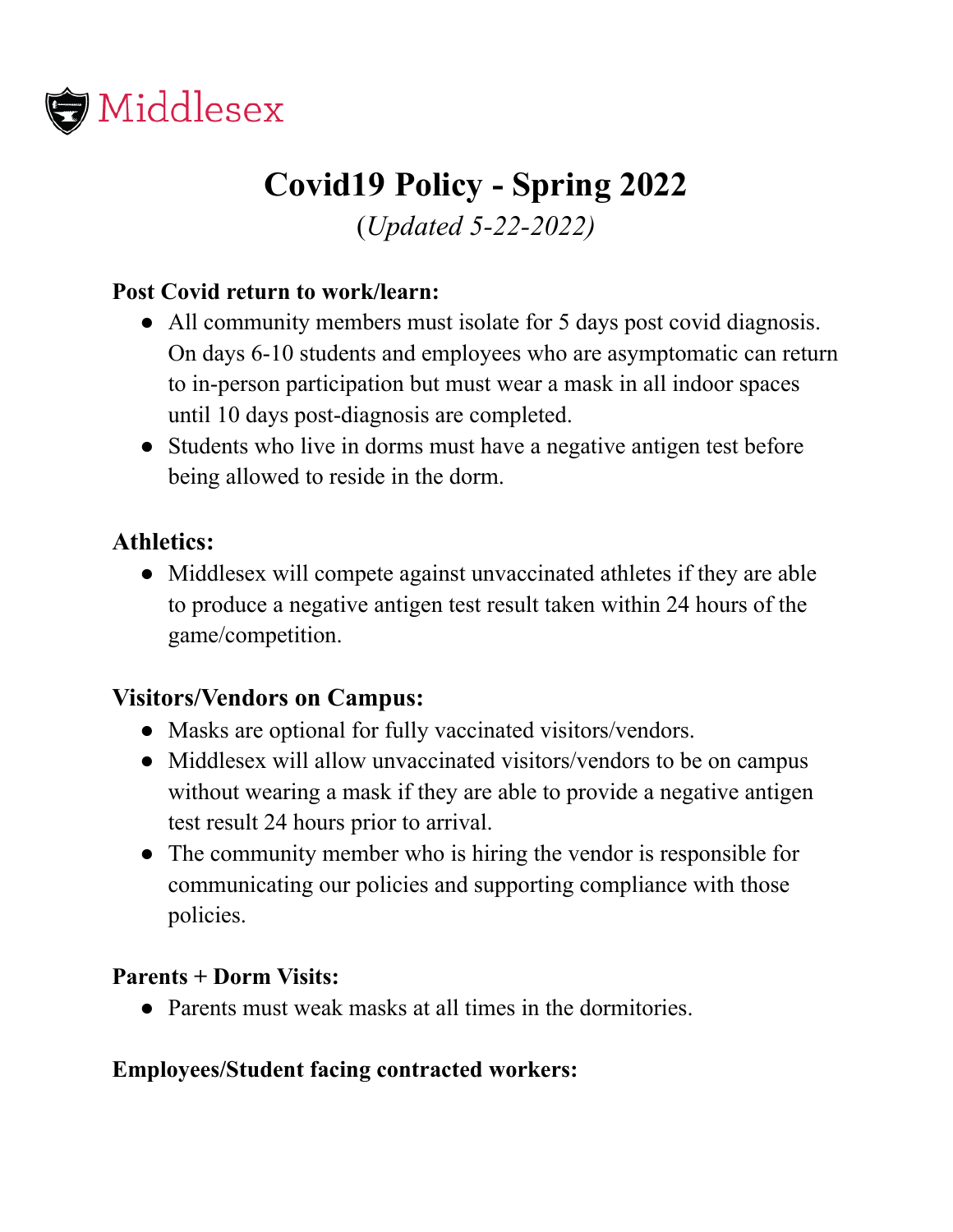

# **Covid19 Policy - Spring 2022** (*Updated 5-22-2022)*

# **Post Covid return to work/learn:**

- All community members must isolate for 5 days post covid diagnosis. On days 6-10 students and employees who are asymptomatic can return to in-person participation but must wear a mask in all indoor spaces until 10 days post-diagnosis are completed.
- Students who live in dorms must have a negative antigen test before being allowed to reside in the dorm.

## **Athletics:**

• Middlesex will compete against unvaccinated athletes if they are able to produce a negative antigen test result taken within 24 hours of the game/competition.

### **Visitors/Vendors on Campus:**

- Masks are optional for fully vaccinated visitors/vendors.
- Middlesex will allow unvaccinated visitors/vendors to be on campus without wearing a mask if they are able to provide a negative antigen test result 24 hours prior to arrival.
- The community member who is hiring the vendor is responsible for communicating our policies and supporting compliance with those policies.

#### **Parents + Dorm Visits:**

● Parents must weak masks at all times in the dormitories.

### **Employees/Student facing contracted workers:**